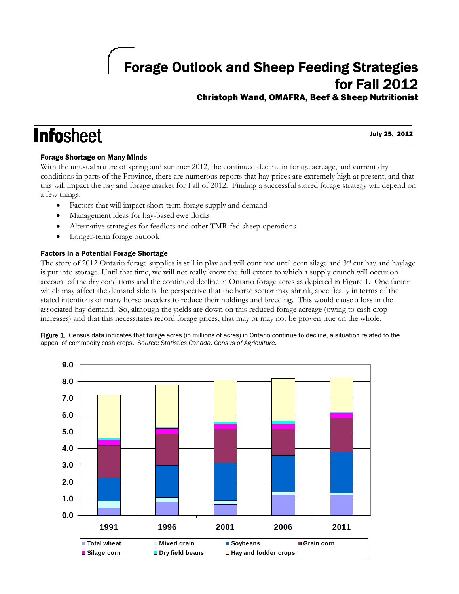# Forage Outlook and Sheep Feeding Strategies for Fall 2012

### Christoph Wand, OMAFRA, Beef & Sheep Nutritionist

## **Infosheet** I

July 25, 2012

#### Forage Shortage on Many Minds

With the unusual nature of spring and summer 2012, the continued decline in forage acreage, and current dry conditions in parts of the Province, there are numerous reports that hay prices are extremely high at present, and that this will impact the hay and forage market for Fall of 2012. Finding a successful stored forage strategy will depend on a few things:

- Factors that will impact short-term forage supply and demand
- Management ideas for hay-based ewe flocks
- Alternative strategies for feedlots and other TMR-fed sheep operations
- Longer-term forage outlook

#### Factors in a Potential Forage Shortage

The story of 2012 Ontario forage supplies is still in play and will continue until corn silage and  $3<sup>rd</sup>$  cut hay and haylage is put into storage. Until that time, we will not really know the full extent to which a supply crunch will occur on account of the dry conditions and the continued decline in Ontario forage acres as depicted in Figure 1. One factor which may affect the demand side is the perspective that the horse sector may shrink, specifically in terms of the stated intentions of many horse breeders to reduce their holdings and breeding. This would cause a loss in the associated hay demand. So, although the yields are down on this reduced forage acreage (owing to cash crop increases) and that this necessitates record forage prices, that may or may not be proven true on the whole.

Figure 1. Census data indicates that forage acres (in millions of acres) in Ontario continue to decline, a situation related to the appeal of commodity cash crops. *Source: Statistics Canada, Census of Agriculture.* 

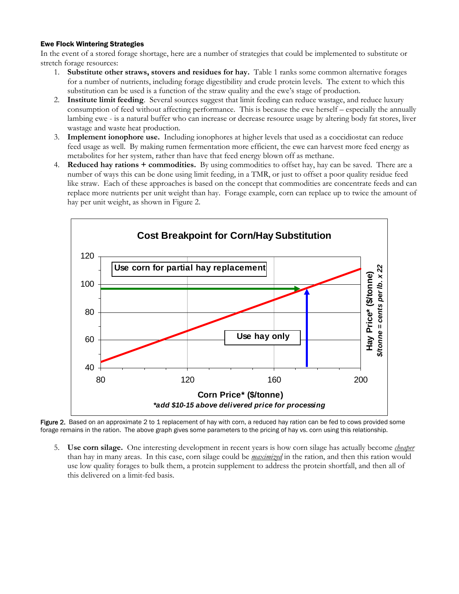#### Ewe Flock Wintering Strategies

In the event of a stored forage shortage, here are a number of strategies that could be implemented to substitute or stretch forage resources:

- 1. **Substitute other straws, stovers and residues for hay.** Table 1 ranks some common alternative forages for a number of nutrients, including forage digestibility and crude protein levels. The extent to which this substitution can be used is a function of the straw quality and the ewe's stage of production.
- 2. **Institute limit feeding**. Several sources suggest that limit feeding can reduce wastage, and reduce luxury consumption of feed without affecting performance. This is because the ewe herself – especially the annually lambing ewe - is a natural buffer who can increase or decrease resource usage by altering body fat stores, liver wastage and waste heat production.
- 3. **Implement ionophore use.** Including ionophores at higher levels that used as a coccidiostat can reduce feed usage as well. By making rumen fermentation more efficient, the ewe can harvest more feed energy as metabolites for her system, rather than have that feed energy blown off as methane.
- 4. **Reduced hay rations + commodities.** By using commodities to offset hay, hay can be saved. There are a number of ways this can be done using limit feeding, in a TMR, or just to offset a poor quality residue feed like straw. Each of these approaches is based on the concept that commodities are concentrate feeds and can replace more nutrients per unit weight than hay. Forage example, corn can replace up to twice the amount of hay per unit weight, as shown in Figure 2.



Figure 2. Based on an approximate 2 to 1 replacement of hay with corn, a reduced hay ration can be fed to cows provided some forage remains in the ration. The above graph gives some parameters to the pricing of hay vs. corn using this relationship.

5. **Use corn silage.** One interesting development in recent years is how corn silage has actually become *cheaper* than hay in many areas. In this case, corn silage could be *maximized* in the ration, and then this ration would use low quality forages to bulk them, a protein supplement to address the protein shortfall, and then all of this delivered on a limit-fed basis.